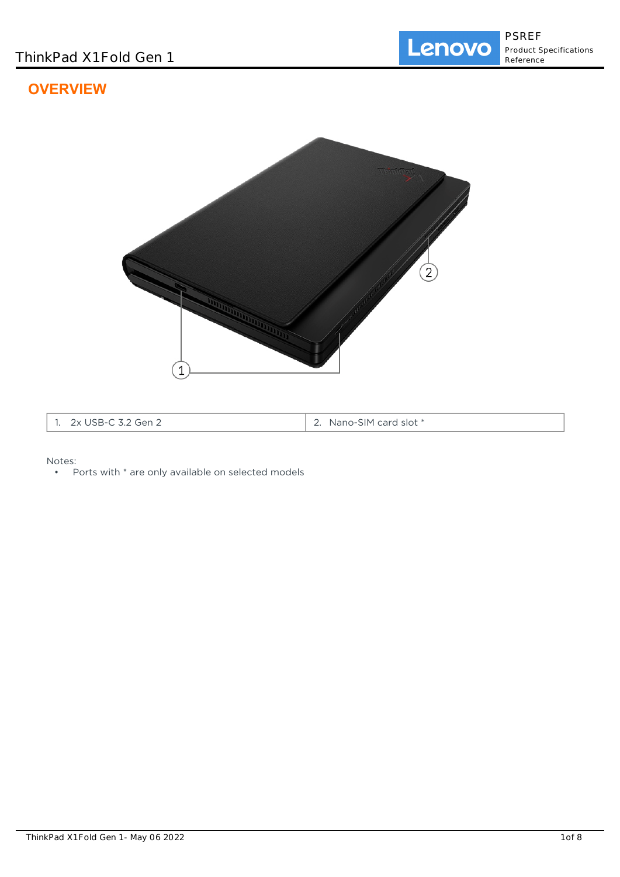# **OVERVIEW**



| クィ<br>÷er<br>JJD-1<br>~ '' ∽<br>. . | slot *<br>card<br>Nano-:<br>5IM.<br>. |
|-------------------------------------|---------------------------------------|
|-------------------------------------|---------------------------------------|

Notes:

• Ports with \* are only available on selected models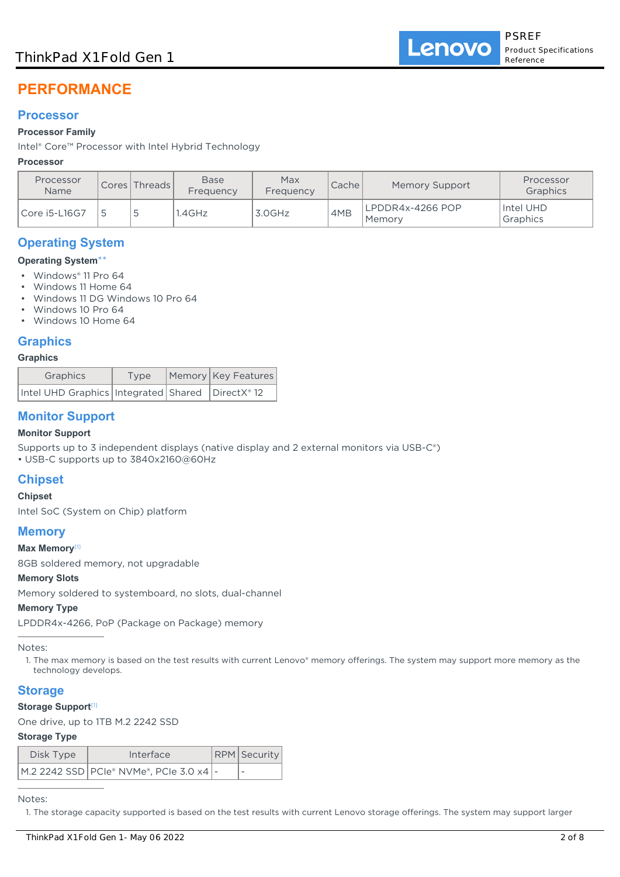# ThinkPad X1 Fold Gen 1

# **PERFORMANCE**

### **Processor**

#### **Processor Family**

Intel® Core™ Processor with Intel Hybrid Technology

#### **Processor**

| Processor<br><b>Name</b> | Cores Threads | <b>Base</b><br>Frequency | Max<br>Frequency | Cache | <b>Memory Support</b>      | Processor<br>Graphics |
|--------------------------|---------------|--------------------------|------------------|-------|----------------------------|-----------------------|
| Core i5-L16G7            |               | .4GHz                    | 3.0GHz           | 4MB   | LPDDR4x-4266 POP<br>Memory | Intel UHD<br>Graphics |

# **Operating System**

#### **Operating System**\*\*

- Windows® 11 Pro 64
- Windows 11 Home 64
- Windows 11 DG Windows 10 Pro 64
- Windows 10 Pro 64
- Windows 10 Home 64

### **Graphics**

#### **Graphics**

| Graphics                                               | Type | Memory Key Features |  |  |
|--------------------------------------------------------|------|---------------------|--|--|
| Intel UHD Graphics   Integrated   Shared   DirectX® 12 |      |                     |  |  |

# **Monitor Support**

#### **Monitor Support**

Supports up to 3 independent displays (native display and 2 external monitors via USB-C®)

• USB-C supports up to 3840x2160@60Hz

# **Chipset**

### **Chipset**

Intel SoC (System on Chip) platform

### **Memory**

#### **Max Memory**[1]

8GB soldered memory, not upgradable

#### **Memory Slots**

Memory soldered to systemboard, no slots, dual-channel

#### **Memory Type**

LPDDR4x-4266, PoP (Package on Package) memory

#### Notes:

1. The max memory is based on the test results with current Lenovo® memory offerings. The system may support more memory as the technology develops.

### **Storage**

#### **Storage Support**[1]

One drive, up to 1TB M.2 2242 SSD

#### **Storage Type**

| Disk Type | Interface                                 | RPM Security |
|-----------|-------------------------------------------|--------------|
|           | M.2 2242 SSD PCIe® NVMe®, PCIe 3.0 x4   - |              |

Notes:

1. The storage capacity supported is based on the test results with current Lenovo storage offerings. The system may support larger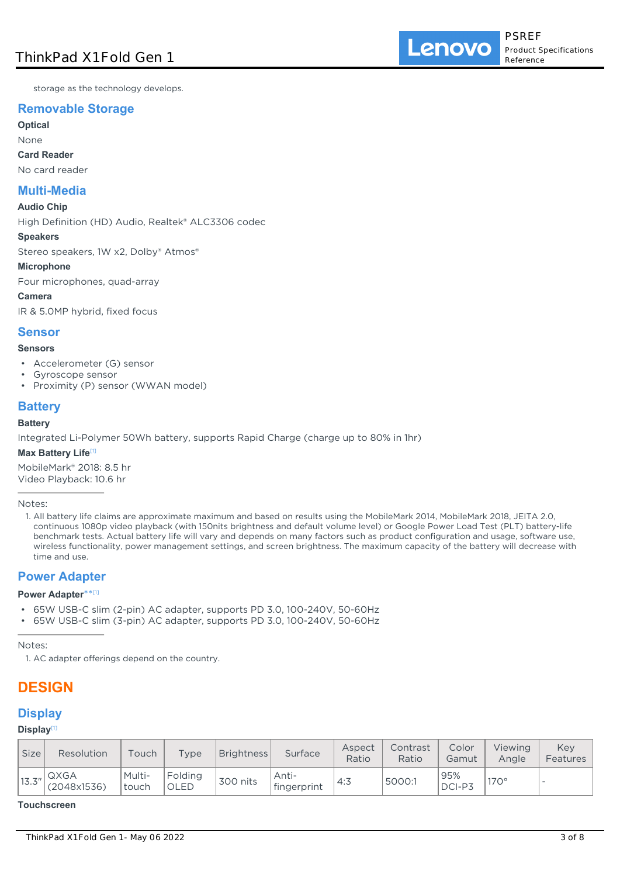storage as the technology develops.

# **Removable Storage**

**Optical**

None **Card Reader**

No card reader

# **Multi-Media**

#### **Audio Chip**

High Definition (HD) Audio, Realtek® ALC3306 codec

#### **Speakers**

Stereo speakers, 1W x2, Dolby® Atmos®

#### **Microphone**

Four microphones, quad-array

**Camera** IR & 5.0MP hybrid, fixed focus

# **Sensor**

#### **Sensors**

- Accelerometer (G) sensor
- Gyroscope sensor
- Proximity (P) sensor (WWAN model)

# **Battery**

#### **Battery**

Integrated Li-Polymer 50Wh battery, supports Rapid Charge (charge up to 80% in 1hr)

#### **Max Battery Life**[1]

MobileMark® 2018: 8.5 hr Video Playback: 10.6 hr

Notes:

1. All battery life claims are approximate maximum and based on results using the MobileMark 2014, MobileMark 2018, JEITA 2.0, continuous 1080p video playback (with 150nits brightness and default volume level) or Google Power Load Test (PLT) battery-life benchmark tests. Actual battery life will vary and depends on many factors such as product configuration and usage, software use, wireless functionality, power management settings, and screen brightness. The maximum capacity of the battery will decrease with time and use.

# **Power Adapter**

#### **Power Adapter**\*\* [1]

- 65W USB-C slim (2-pin) AC adapter, supports PD 3.0, 100-240V, 50-60Hz
- 65W USB-C slim (3-pin) AC adapter, supports PD 3.0, 100-240V, 50-60Hz

Notes:

1. AC adapter offerings depend on the country.

# **DESIGN**

# **Display**

### **Display**[1]

| <b>Size</b> | Resolution          | Touch           | Type            | <b>Brightness</b> | Surface              | Aspect<br>Ratio | Contrast<br>Ratio | Color<br>Gamut | Viewing<br>Angle | Kev<br>Features          |
|-------------|---------------------|-----------------|-----------------|-------------------|----------------------|-----------------|-------------------|----------------|------------------|--------------------------|
| 13.3''      | QXGA<br>(2048x1536) | Multi-<br>touch | Folding<br>OLED | 300 nits          | Anti-<br>fingerprint | 4:3             | 5000:1            | 95%<br>DCI-P3  | $170^\circ$      | $\overline{\phantom{a}}$ |

#### **Touchscreen**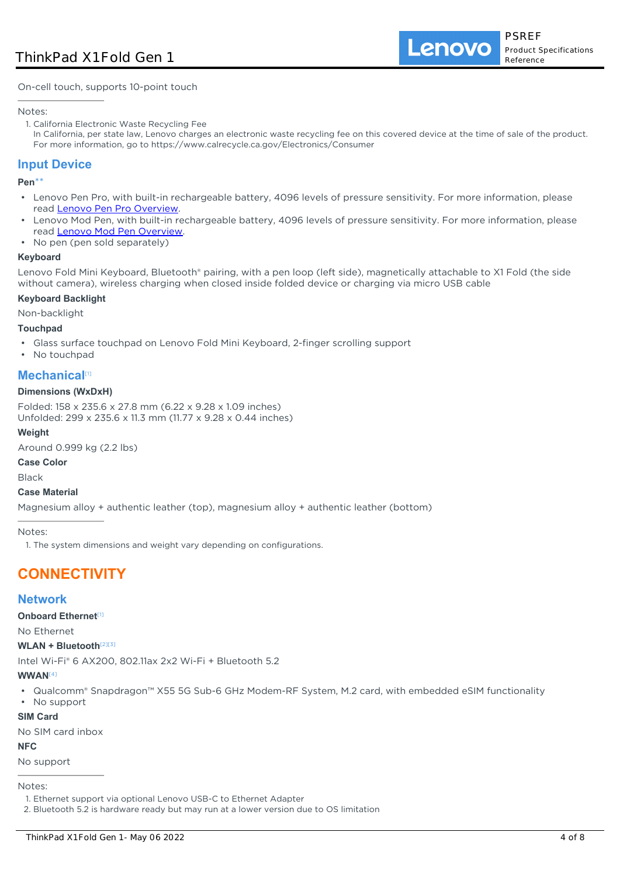On-cell touch, supports 10-point touch

#### Notes:

- 1. California Electronic Waste Recycling Fee
- In California, per state law, Lenovo charges an electronic waste recycling fee on this covered device at the time of sale of the product. For more information, go to https://www.calrecycle.ca.gov/Electronics/Consumer

# **Input Device**

**Pen**\*\*

- Lenovo Pen Pro, with built-in rechargeable battery, 4096 levels of pressure sensitivity. For more information, please read [Lenovo Pen Pro Overview](https://support.lenovo.com/us/en/accessories/acc500052). •
- Lenovo Mod Pen, with built-in rechargeable battery, 4096 levels of pressure sensitivity. For more information, please read [Lenovo Mod Pen Overview](https://support.lenovo.com/us/en/accessories/acc500222).
- No pen (pen sold separately)

#### **Keyboard**

Lenovo Fold Mini Keyboard, Bluetooth® pairing, with a pen loop (left side), magnetically attachable to X1 Fold (the side without camera), wireless charging when closed inside folded device or charging via micro USB cable

#### **Keyboard Backlight**

Non-backlight

#### **Touchpad**

- Glass surface touchpad on Lenovo Fold Mini Keyboard, 2-finger scrolling support
- No touchpad

# **Mechanical**[1]

#### **Dimensions (WxDxH)**

Folded: 158 x 235.6 x 27.8 mm (6.22 x 9.28 x 1.09 inches) Unfolded: 299 x 235.6 x 11.3 mm (11.77 x 9.28 x 0.44 inches)

#### **Weight**

Around 0.999 kg (2.2 lbs)

### **Case Color**

Black

#### **Case Material**

Magnesium alloy + authentic leather (top), magnesium alloy + authentic leather (bottom)

Notes:

1. The system dimensions and weight vary depending on configurations.

# **CONNECTIVITY**

### **Network**

**Onboard Ethernet**[1]

No Ethernet

#### **WLAN + Bluetooth**[2][3]

Intel Wi-Fi® 6 AX200, 802.11ax 2x2 Wi-Fi + Bluetooth 5.2

#### **WWAN**[4]

- Qualcomm® Snapdragon™ X55 5G Sub-6 GHz Modem-RF System, M.2 card, with embedded eSIM functionality
- No support

#### **SIM Card**

No SIM card inbox

#### **NFC**

No support

Notes:

<sup>1.</sup> Ethernet support via optional Lenovo USB-C to Ethernet Adapter

<sup>2.</sup> Bluetooth 5.2 is hardware ready but may run at a lower version due to OS limitation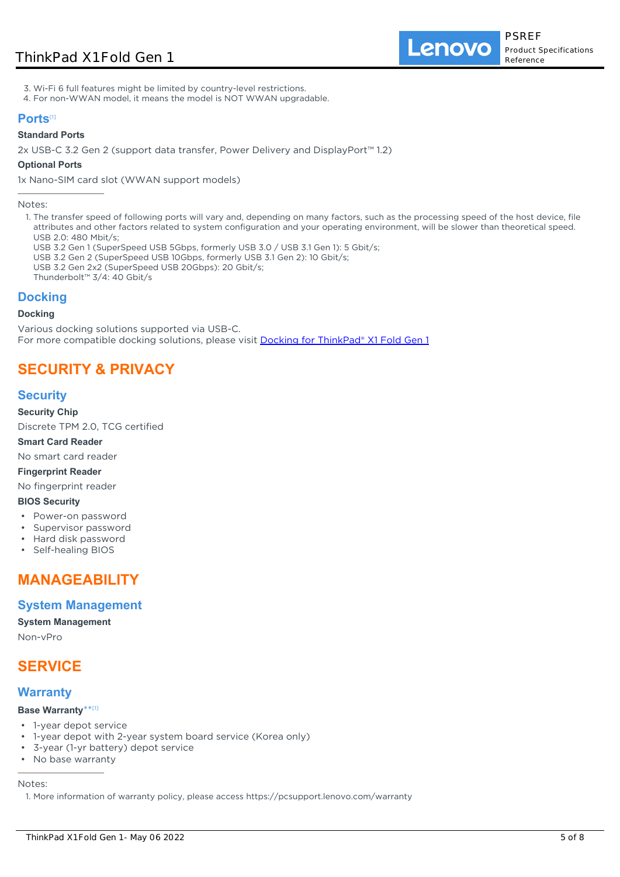# ThinkPad X1 Fold Gen 1

Lenovo

- 3. Wi-Fi 6 full features might be limited by country-level restrictions.
- 4. For non-WWAN model, it means the model is NOT WWAN upgradable.

### **Ports**[1]

#### **Standard Ports**

2x USB-C 3.2 Gen 2 (support data transfer, Power Delivery and DisplayPort™ 1.2)

#### **Optional Ports**

1x Nano-SIM card slot (WWAN support models)

Notes:

- 1. The transfer speed of following ports will vary and, depending on many factors, such as the processing speed of the host device, file attributes and other factors related to system configuration and your operating environment, will be slower than theoretical speed. USB 2.0: 480 Mbit/s;
	- USB 3.2 Gen 1 (SuperSpeed USB 5Gbps, formerly USB 3.0 / USB 3.1 Gen 1): 5 Gbit/s;
	- USB 3.2 Gen 2 (SuperSpeed USB 10Gbps, formerly USB 3.1 Gen 2): 10 Gbit/s;
	- USB 3.2 Gen 2x2 (SuperSpeed USB 20Gbps): 20 Gbit/s;
	- Thunderbolt™ 3/4: 40 Gbit/s

### **Docking**

#### **Docking**

Various docking solutions supported via USB-C. For more compatible docking solutions, please visit **[Docking for ThinkPad® X1 Fold Gen 1](https://smartfind.lenovo.com/accessories/#/search?categoryL1Name=Docking&categoryL2Names&pageIndex=1&pageSize=40&query=20RK)** 

# **SECURITY & PRIVACY**

# **Security**

#### **Security Chip**

Discrete TPM 2.0, TCG certified

**Smart Card Reader**

No smart card reader

**Fingerprint Reader**

No fingerprint reader

#### **BIOS Security**

- Power-on password
- Supervisor password
- Hard disk password
- Self-healing BIOS

# **MANAGEABILITY**

### **System Management**

#### **System Management**

Non-vPro

# **SERVICE**

### **Warranty**

#### **Base Warranty**\*\* [1]

- 1-year depot service
- 1-year depot with 2-year system board service (Korea only)
- 3-year (1-yr battery) depot service
- No base warranty

Notes:

1. More information of warranty policy, please access https://pcsupport.lenovo.com/warranty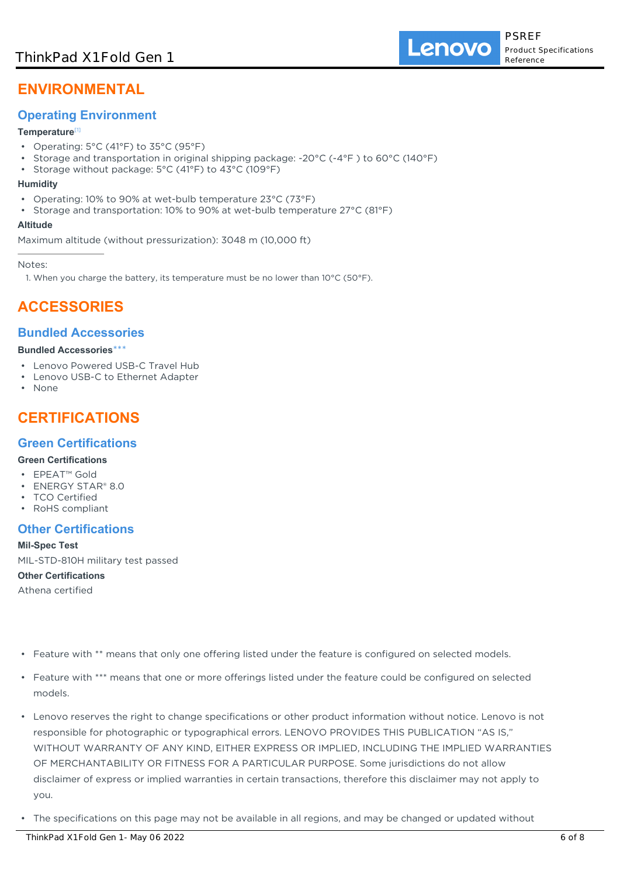# **ENVIRONMENTAL**

# **Operating Environment**

### **Temperature**[1]

- Operating: 5°C (41°F) to 35°C (95°F)
- Storage and transportation in original shipping package: -20°C (-4°F ) to 60°C (140°F)
- Storage without package: 5°C (41°F) to 43°C (109°F)

#### **Humidity**

- Operating: 10% to 90% at wet-bulb temperature 23°C (73°F)
- Storage and transportation: 10% to 90% at wet-bulb temperature 27°C (81°F)

#### **Altitude**

Maximum altitude (without pressurization): 3048 m (10,000 ft)

Notes:

1. When you charge the battery, its temperature must be no lower than 10°C (50°F).

# **ACCESSORIES**

# **Bundled Accessories**

#### **Bundled Accessories**\*\*\*

- Lenovo Powered USB-C Travel Hub
- Lenovo USB-C to Ethernet Adapter
- None

# **CERTIFICATIONS**

# **Green Certifications**

### **Green Certifications**

- EPEAT™ Gold
- ENERGY STAR® 8.0
- TCO Certified • RoHS compliant

# **Other Certifications**

**Mil-Spec Test** MIL-STD-810H military test passed **Other Certifications** Athena certified

- Feature with \*\* means that only one offering listed under the feature is configured on selected models.
- Feature with \*\*\* means that one or more offerings listed under the feature could be configured on selected models.
- Lenovo reserves the right to change specifications or other product information without notice. Lenovo is not responsible for photographic or typographical errors. LENOVO PROVIDES THIS PUBLICATION "AS IS," WITHOUT WARRANTY OF ANY KIND, EITHER EXPRESS OR IMPLIED, INCLUDING THE IMPLIED WARRANTIES OF MERCHANTABILITY OR FITNESS FOR A PARTICULAR PURPOSE. Some jurisdictions do not allow disclaimer of express or implied warranties in certain transactions, therefore this disclaimer may not apply to you.
- The specifications on this page may not be available in all regions, and may be changed or updated without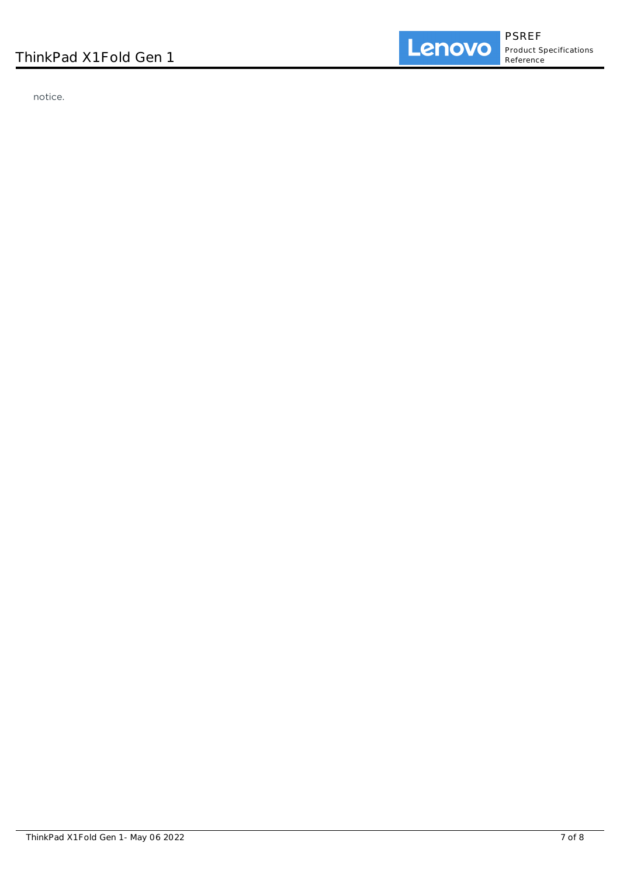notice.